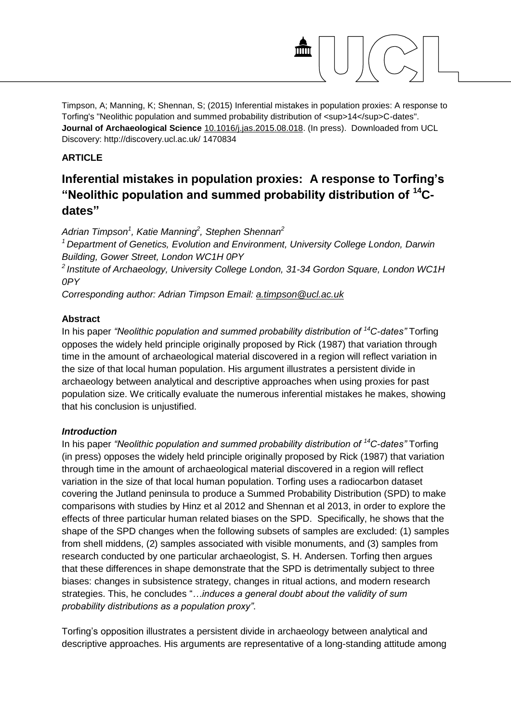Timpson, A; Manning, K; Shennan, S; (2015) Inferential mistakes in population proxies: A response to Torfing's "Neolithic population and summed probability distribution of  $\langle supp 14\langle supp C\rangle$ -dates". **Journal of Archaeological Science** [10.1016/j.jas.2015.08.018.](http://dx.doi.org/10.1016/j.jas.2015.08.018) (In press). Downloaded from UCL Discovery: http://discovery.ucl.ac.uk/ 1470834

## **ARTICLE**

# **Inferential mistakes in population proxies: A response to Torfing's "Neolithic population and summed probability distribution of <sup>14</sup>Cdates"**

*Adrian Timpson<sup>1</sup> , Katie Manning<sup>2</sup> , Stephen Shennan<sup>2</sup> <sup>1</sup>Department of Genetics, Evolution and Environment, University College London, Darwin Building, Gower Street, London WC1H 0PY <sup>2</sup>Institute of Archaeology, University College London, 31-34 Gordon Square, London WC1H 0PY Corresponding author: Adrian Timpson Email: [a.timpson@ucl.ac.uk](mailto:a.timpson@ucl.ac.uk)*

#### **Abstract**

In his paper *"Neolithic population and summed probability distribution of <sup>14</sup>C-dates" Torfing* opposes the widely held principle originally proposed by Rick (1987) that variation through time in the amount of archaeological material discovered in a region will reflect variation in the size of that local human population. His argument illustrates a persistent divide in archaeology between analytical and descriptive approaches when using proxies for past population size. We critically evaluate the numerous inferential mistakes he makes, showing that his conclusion is unjustified.

## *Introduction*

In his paper "Neolithic population and summed probability distribution of <sup>14</sup>C-dates" Torfing (in press) opposes the widely held principle originally proposed by Rick (1987) that variation through time in the amount of archaeological material discovered in a region will reflect variation in the size of that local human population. Torfing uses a radiocarbon dataset covering the Jutland peninsula to produce a Summed Probability Distribution (SPD) to make comparisons with studies by Hinz et al 2012 and Shennan et al 2013, in order to explore the effects of three particular human related biases on the SPD. Specifically, he shows that the shape of the SPD changes when the following subsets of samples are excluded: (1) samples from shell middens, (2) samples associated with visible monuments, and (3) samples from research conducted by one particular archaeologist, S. H. Andersen. Torfing then argues that these differences in shape demonstrate that the SPD is detrimentally subject to three biases: changes in subsistence strategy, changes in ritual actions, and modern research strategies. This, he concludes "*…induces a general doubt about the validity of sum probability distributions as a population proxy"*.

Torfing's opposition illustrates a persistent divide in archaeology between analytical and descriptive approaches. His arguments are representative of a long-standing attitude among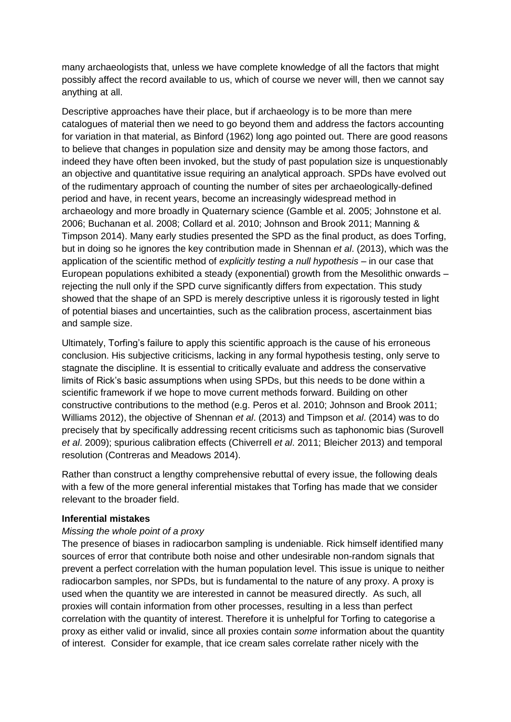many archaeologists that, unless we have complete knowledge of all the factors that might possibly affect the record available to us, which of course we never will, then we cannot say anything at all.

Descriptive approaches have their place, but if archaeology is to be more than mere catalogues of material then we need to go beyond them and address the factors accounting for variation in that material, as Binford (1962) long ago pointed out. There are good reasons to believe that changes in population size and density may be among those factors, and indeed they have often been invoked, but the study of past population size is unquestionably an objective and quantitative issue requiring an analytical approach. SPDs have evolved out of the rudimentary approach of counting the number of sites per archaeologically-defined period and have, in recent years, become an increasingly widespread method in archaeology and more broadly in Quaternary science (Gamble et al. 2005; Johnstone et al. 2006; Buchanan et al. 2008; Collard et al. 2010; Johnson and Brook 2011; Manning & Timpson 2014). Many early studies presented the SPD as the final product, as does Torfing, but in doing so he ignores the key contribution made in Shennan *et al*. (2013), which was the application of the scientific method of *explicitly testing a null hypothesis –* in our case that European populations exhibited a steady (exponential) growth from the Mesolithic onwards – rejecting the null only if the SPD curve significantly differs from expectation. This study showed that the shape of an SPD is merely descriptive unless it is rigorously tested in light of potential biases and uncertainties, such as the calibration process, ascertainment bias and sample size.

Ultimately, Torfing's failure to apply this scientific approach is the cause of his erroneous conclusion. His subjective criticisms, lacking in any formal hypothesis testing, only serve to stagnate the discipline. It is essential to critically evaluate and address the conservative limits of Rick's basic assumptions when using SPDs, but this needs to be done within a scientific framework if we hope to move current methods forward. Building on other constructive contributions to the method (e.g. Peros et al. 2010; Johnson and Brook 2011; Williams 2012), the objective of Shennan *et al*. (2013) and Timpson et *al*. (2014) was to do precisely that by specifically addressing recent criticisms such as taphonomic bias (Surovell *et al*. 2009); spurious calibration effects (Chiverrell *et al*. 2011; Bleicher 2013) and temporal resolution (Contreras and Meadows 2014).

Rather than construct a lengthy comprehensive rebuttal of every issue, the following deals with a few of the more general inferential mistakes that Torfing has made that we consider relevant to the broader field.

## **Inferential mistakes**

## *Missing the whole point of a proxy*

The presence of biases in radiocarbon sampling is undeniable. Rick himself identified many sources of error that contribute both noise and other undesirable non-random signals that prevent a perfect correlation with the human population level. This issue is unique to neither radiocarbon samples, nor SPDs, but is fundamental to the nature of any proxy. A proxy is used when the quantity we are interested in cannot be measured directly. As such, all proxies will contain information from other processes, resulting in a less than perfect correlation with the quantity of interest. Therefore it is unhelpful for Torfing to categorise a proxy as either valid or invalid, since all proxies contain *some* information about the quantity of interest. Consider for example, that ice cream sales correlate rather nicely with the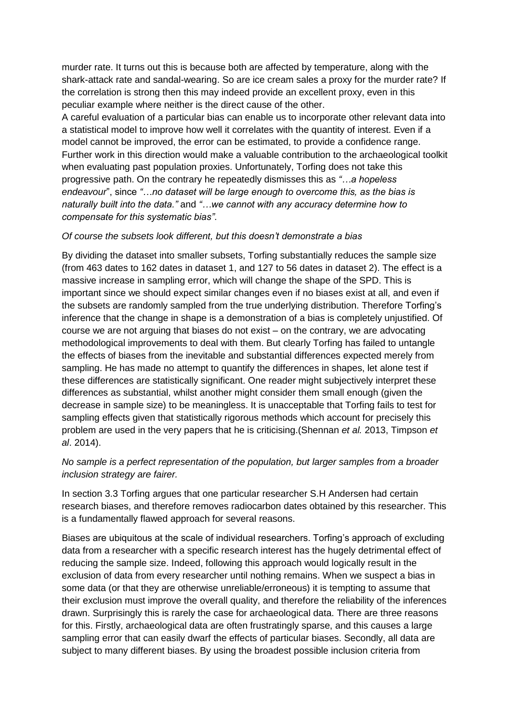murder rate. It turns out this is because both are affected by temperature, along with the shark-attack rate and sandal-wearing. So are ice cream sales a proxy for the murder rate? If the correlation is strong then this may indeed provide an excellent proxy, even in this peculiar example where neither is the direct cause of the other.

A careful evaluation of a particular bias can enable us to incorporate other relevant data into a statistical model to improve how well it correlates with the quantity of interest. Even if a model cannot be improved, the error can be estimated, to provide a confidence range. Further work in this direction would make a valuable contribution to the archaeological toolkit when evaluating past population proxies. Unfortunately, Torfing does not take this progressive path. On the contrary he repeatedly dismisses this as *"…a hopeless endeavour*", since *"…no dataset will be large enough to overcome this, as the bias is naturally built into the data."* and *"…we cannot with any accuracy determine how to compensate for this systematic bias"*.

#### *Of course the subsets look different, but this doesn't demonstrate a bias*

By dividing the dataset into smaller subsets, Torfing substantially reduces the sample size (from 463 dates to 162 dates in dataset 1, and 127 to 56 dates in dataset 2). The effect is a massive increase in sampling error, which will change the shape of the SPD. This is important since we should expect similar changes even if no biases exist at all, and even if the subsets are randomly sampled from the true underlying distribution. Therefore Torfing's inference that the change in shape is a demonstration of a bias is completely unjustified. Of course we are not arguing that biases do not exist – on the contrary, we are advocating methodological improvements to deal with them. But clearly Torfing has failed to untangle the effects of biases from the inevitable and substantial differences expected merely from sampling. He has made no attempt to quantify the differences in shapes, let alone test if these differences are statistically significant. One reader might subjectively interpret these differences as substantial, whilst another might consider them small enough (given the decrease in sample size) to be meaningless. It is unacceptable that Torfing fails to test for sampling effects given that statistically rigorous methods which account for precisely this problem are used in the very papers that he is criticising.(Shennan *et al.* 2013, Timpson *et al*. 2014).

## *No sample is a perfect representation of the population, but larger samples from a broader inclusion strategy are fairer.*

In section 3.3 Torfing argues that one particular researcher S.H Andersen had certain research biases, and therefore removes radiocarbon dates obtained by this researcher. This is a fundamentally flawed approach for several reasons.

Biases are ubiquitous at the scale of individual researchers. Torfing's approach of excluding data from a researcher with a specific research interest has the hugely detrimental effect of reducing the sample size. Indeed, following this approach would logically result in the exclusion of data from every researcher until nothing remains. When we suspect a bias in some data (or that they are otherwise unreliable/erroneous) it is tempting to assume that their exclusion must improve the overall quality, and therefore the reliability of the inferences drawn. Surprisingly this is rarely the case for archaeological data. There are three reasons for this. Firstly, archaeological data are often frustratingly sparse, and this causes a large sampling error that can easily dwarf the effects of particular biases. Secondly, all data are subject to many different biases. By using the broadest possible inclusion criteria from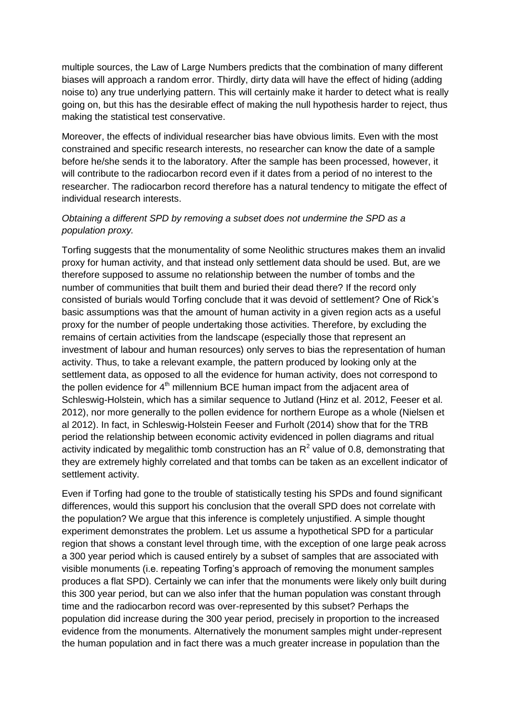multiple sources, the Law of Large Numbers predicts that the combination of many different biases will approach a random error. Thirdly, dirty data will have the effect of hiding (adding noise to) any true underlying pattern. This will certainly make it harder to detect what is really going on, but this has the desirable effect of making the null hypothesis harder to reject, thus making the statistical test conservative.

Moreover, the effects of individual researcher bias have obvious limits. Even with the most constrained and specific research interests, no researcher can know the date of a sample before he/she sends it to the laboratory. After the sample has been processed, however, it will contribute to the radiocarbon record even if it dates from a period of no interest to the researcher. The radiocarbon record therefore has a natural tendency to mitigate the effect of individual research interests.

## *Obtaining a different SPD by removing a subset does not undermine the SPD as a population proxy.*

Torfing suggests that the monumentality of some Neolithic structures makes them an invalid proxy for human activity, and that instead only settlement data should be used. But, are we therefore supposed to assume no relationship between the number of tombs and the number of communities that built them and buried their dead there? If the record only consisted of burials would Torfing conclude that it was devoid of settlement? One of Rick's basic assumptions was that the amount of human activity in a given region acts as a useful proxy for the number of people undertaking those activities. Therefore, by excluding the remains of certain activities from the landscape (especially those that represent an investment of labour and human resources) only serves to bias the representation of human activity. Thus, to take a relevant example, the pattern produced by looking only at the settlement data, as opposed to all the evidence for human activity, does not correspond to the pollen evidence for  $4<sup>th</sup>$  millennium BCE human impact from the adjacent area of Schleswig-Holstein, which has a similar sequence to Jutland (Hinz et al. 2012, Feeser et al. 2012), nor more generally to the pollen evidence for northern Europe as a whole (Nielsen et al 2012). In fact, in Schleswig-Holstein Feeser and Furholt (2014) show that for the TRB period the relationship between economic activity evidenced in pollen diagrams and ritual activity indicated by megalithic tomb construction has an  $R^2$  value of 0.8, demonstrating that they are extremely highly correlated and that tombs can be taken as an excellent indicator of settlement activity.

Even if Torfing had gone to the trouble of statistically testing his SPDs and found significant differences, would this support his conclusion that the overall SPD does not correlate with the population? We argue that this inference is completely unjustified. A simple thought experiment demonstrates the problem. Let us assume a hypothetical SPD for a particular region that shows a constant level through time, with the exception of one large peak across a 300 year period which is caused entirely by a subset of samples that are associated with visible monuments (i.e. repeating Torfing's approach of removing the monument samples produces a flat SPD). Certainly we can infer that the monuments were likely only built during this 300 year period, but can we also infer that the human population was constant through time and the radiocarbon record was over-represented by this subset? Perhaps the population did increase during the 300 year period, precisely in proportion to the increased evidence from the monuments. Alternatively the monument samples might under-represent the human population and in fact there was a much greater increase in population than the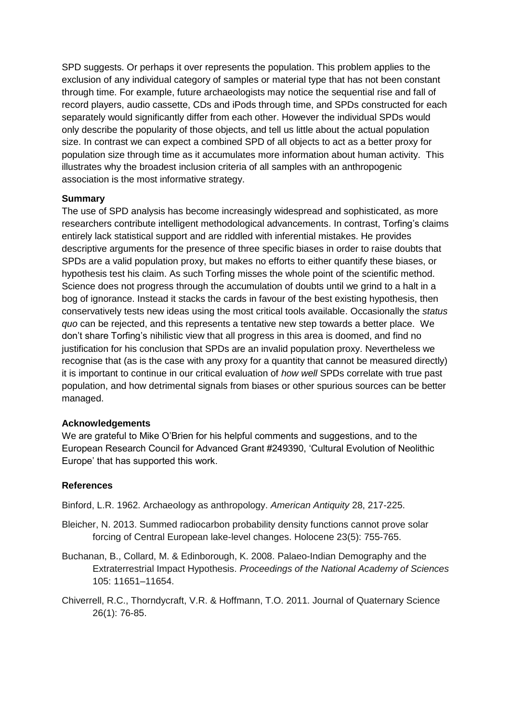SPD suggests. Or perhaps it over represents the population. This problem applies to the exclusion of any individual category of samples or material type that has not been constant through time. For example, future archaeologists may notice the sequential rise and fall of record players, audio cassette, CDs and iPods through time, and SPDs constructed for each separately would significantly differ from each other. However the individual SPDs would only describe the popularity of those objects, and tell us little about the actual population size. In contrast we can expect a combined SPD of all objects to act as a better proxy for population size through time as it accumulates more information about human activity. This illustrates why the broadest inclusion criteria of all samples with an anthropogenic association is the most informative strategy.

#### **Summary**

The use of SPD analysis has become increasingly widespread and sophisticated, as more researchers contribute intelligent methodological advancements. In contrast, Torfing's claims entirely lack statistical support and are riddled with inferential mistakes. He provides descriptive arguments for the presence of three specific biases in order to raise doubts that SPDs are a valid population proxy, but makes no efforts to either quantify these biases, or hypothesis test his claim. As such Torfing misses the whole point of the scientific method. Science does not progress through the accumulation of doubts until we grind to a halt in a bog of ignorance. Instead it stacks the cards in favour of the best existing hypothesis, then conservatively tests new ideas using the most critical tools available. Occasionally the *status quo* can be rejected, and this represents a tentative new step towards a better place. We don't share Torfing's nihilistic view that all progress in this area is doomed, and find no justification for his conclusion that SPDs are an invalid population proxy. Nevertheless we recognise that (as is the case with any proxy for a quantity that cannot be measured directly) it is important to continue in our critical evaluation of *how well* SPDs correlate with true past population, and how detrimental signals from biases or other spurious sources can be better managed.

#### **Acknowledgements**

We are grateful to Mike O'Brien for his helpful comments and suggestions, and to the European Research Council for Advanced Grant #249390, 'Cultural Evolution of Neolithic Europe' that has supported this work.

## **References**

Binford, L.R. 1962. Archaeology as anthropology. *American Antiquity* 28, 217-225.

- Bleicher, N. 2013. Summed radiocarbon probability density functions cannot prove solar forcing of Central European lake-level changes. Holocene 23(5): 755-765.
- Buchanan, B., Collard, M. & Edinborough, K. 2008. Palaeo-Indian Demography and the Extraterrestrial Impact Hypothesis. *Proceedings of the National Academy of Sciences* 105: 11651–11654.
- Chiverrell, R.C., Thorndycraft, V.R. & Hoffmann, T.O. 2011. Journal of Quaternary Science 26(1): 76-85.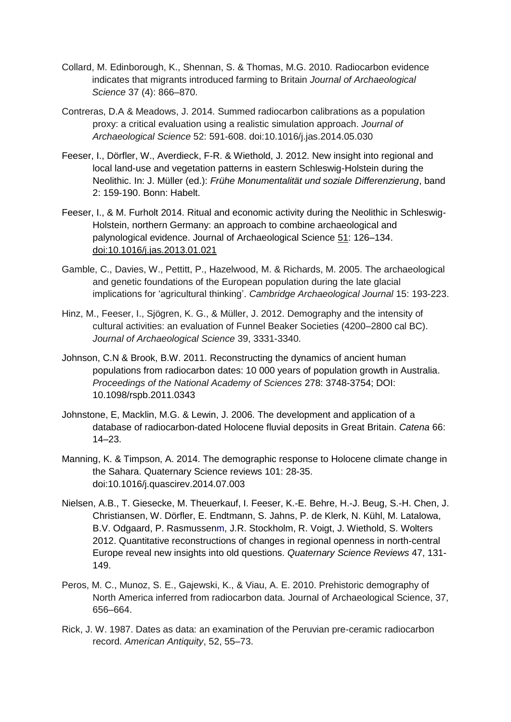- Collard, M. Edinborough, K., Shennan, S. & Thomas, M.G. 2010. Radiocarbon evidence indicates that migrants introduced farming to Britain *Journal of Archaeological Science* 37 (4): 866–870.
- Contreras, D.A & Meadows, J. 2014. Summed radiocarbon calibrations as a population proxy: a critical evaluation using a realistic simulation approach. *Journal of Archaeological Science* 52: 591-608. doi:10.1016/j.jas.2014.05.030
- Feeser, I., Dörfler, W., Averdieck, F-R. & Wiethold, J. 2012. New insight into regional and local land-use and vegetation patterns in eastern Schleswig-Holstein during the Neolithic. In: J. Müller (ed.): *Frühe Monumentalität und soziale Differenzierung*, band 2: 159-190. Bonn: Habelt.
- Feeser, I., & M. Furholt 2014. Ritual and economic activity during the Neolithic in Schleswig-Holstein, northern Germany: an approach to combine archaeological and palynological evidence. Journal of Archaeological Science [51:](http://www.sciencedirect.com/science/journal/03054403/51/supp/C) 126–134. [doi:10.1016/j.jas.2013.01.021](http://dx.doi.org/10.1016/j.jas.2013.01.021)
- Gamble, C., Davies, W., Pettitt, P., Hazelwood, M. & Richards, M. 2005. The archaeological and genetic foundations of the European population during the late glacial implications for 'agricultural thinking'. *Cambridge Archaeological Journal* 15: 193-223.
- Hinz, M., Feeser, I., Sjögren, K. G., & Müller, J. 2012. Demography and the intensity of cultural activities: an evaluation of Funnel Beaker Societies (4200–2800 cal BC). *Journal of Archaeological Science* 39, 3331-3340.
- Johnson, C.N & Brook, B.W. 2011. Reconstructing the dynamics of ancient human populations from radiocarbon dates: 10 000 years of population growth in Australia. *Proceedings of the National Academy of Sciences* 278: 3748-3754; DOI: 10.1098/rspb.2011.0343
- Johnstone, E, Macklin, M.G. & Lewin, J. 2006. The development and application of a database of radiocarbon-dated Holocene fluvial deposits in Great Britain. *Catena* 66: 14–23.
- Manning, K. & Timpson, A. 2014. The demographic response to Holocene climate change in the Sahara. Quaternary Science reviews 101: 28-35. doi:10.1016/j.quascirev.2014.07.003
- Nielsen, A.B., T. Giesecke, M. Theuerkauf, I. Feeser, K.-E. Behre, H.-J. Beug, S.-H. Chen, J. Christiansen, W. Dörfler, E. Endtmann, S. Jahns, P. de Klerk, N. Kühl, M. Latalowa, B.V. Odgaard, P. Rasmussenm, J.R. Stockholm, R. Voigt, J. Wiethold, S. Wolters 2012. Quantitative reconstructions of changes in regional openness in north-central Europe reveal new insights into old questions. *Quaternary Science Reviews* 47, 131- 149.
- Peros, M. C., Munoz, S. E., Gajewski, K., & Viau, A. E. 2010. Prehistoric demography of North America inferred from radiocarbon data. Journal of Archaeological Science, 37, 656–664.
- Rick, J. W. 1987. Dates as data: an examination of the Peruvian pre-ceramic radiocarbon record. *American Antiquity*, 52, 55–73.